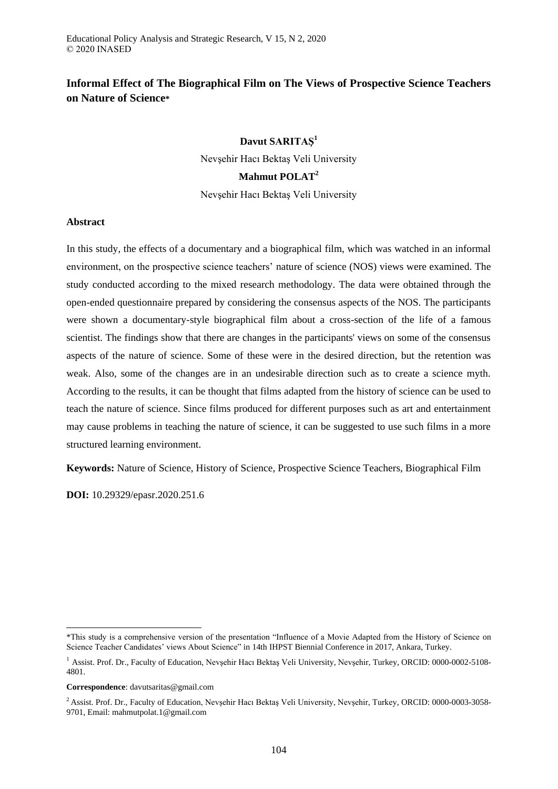# **Informal Effect of The Biographical Film on The Views of Prospective Science Teachers on Nature of Science\***

# **Davut SARITAŞ<sup>1</sup>**

Nevşehir Hacı Bektaş Veli University

# **Mahmut POLAT<sup>2</sup>**

Nevşehir Hacı Bektaş Veli University

# **Abstract**

In this study, the effects of a documentary and a biographical film, which was watched in an informal environment, on the prospective science teachers' nature of science (NOS) views were examined. The study conducted according to the mixed research methodology. The data were obtained through the open-ended questionnaire prepared by considering the consensus aspects of the NOS. The participants were shown a documentary-style biographical film about a cross-section of the life of a famous scientist. The findings show that there are changes in the participants' views on some of the consensus aspects of the nature of science. Some of these were in the desired direction, but the retention was weak. Also, some of the changes are in an undesirable direction such as to create a science myth. According to the results, it can be thought that films adapted from the history of science can be used to teach the nature of science. Since films produced for different purposes such as art and entertainment may cause problems in teaching the nature of science, it can be suggested to use such films in a more structured learning environment.

**Keywords:** Nature of Science, History of Science, Prospective Science Teachers, Biographical Film

**DOI:** 10.29329/epasr.2020.251.6

**Correspondence**: davutsaritas@gmail.com

1

<sup>\*</sup>This study is a comprehensive version of the presentation "Influence of a Movie Adapted from the History of Science on Science Teacher Candidates' views About Science" in 14th IHPST Biennial Conference in 2017, Ankara, Turkey.

<sup>&</sup>lt;sup>1</sup> Assist. Prof. Dr., Faculty of Education, Nevsehir Hacı Bektaş Veli University, Nevşehir, Turkey, ORCID: 0000-0002-5108-4801.

<sup>&</sup>lt;sup>2</sup> Assist. Prof. Dr., Faculty of Education, Nevşehir Hacı Bektaş Veli University, Nevşehir, Turkey, ORCID: 0000-0003-3058-9701, Email: mahmutpolat.1@gmail.com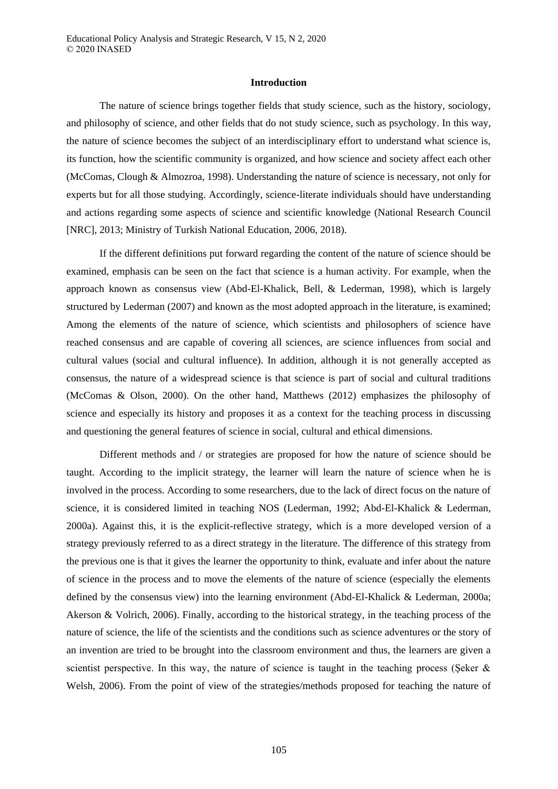#### **Introduction**

The nature of science brings together fields that study science, such as the history, sociology, and philosophy of science, and other fields that do not study science, such as psychology. In this way, the nature of science becomes the subject of an interdisciplinary effort to understand what science is, its function, how the scientific community is organized, and how science and society affect each other (McComas, Clough & Almozroa, 1998). Understanding the nature of science is necessary, not only for experts but for all those studying. Accordingly, science-literate individuals should have understanding and actions regarding some aspects of science and scientific knowledge (National Research Council [NRC], 2013; Ministry of Turkish National Education, 2006, 2018).

If the different definitions put forward regarding the content of the nature of science should be examined, emphasis can be seen on the fact that science is a human activity. For example, when the approach known as consensus view (Abd-El-Khalick, Bell, & Lederman, 1998), which is largely structured by Lederman (2007) and known as the most adopted approach in the literature, is examined; Among the elements of the nature of science, which scientists and philosophers of science have reached consensus and are capable of covering all sciences, are science influences from social and cultural values (social and cultural influence). In addition, although it is not generally accepted as consensus, the nature of a widespread science is that science is part of social and cultural traditions (McComas & Olson, 2000). On the other hand, Matthews (2012) emphasizes the philosophy of science and especially its history and proposes it as a context for the teaching process in discussing and questioning the general features of science in social, cultural and ethical dimensions.

Different methods and / or strategies are proposed for how the nature of science should be taught. According to the implicit strategy, the learner will learn the nature of science when he is involved in the process. According to some researchers, due to the lack of direct focus on the nature of science, it is considered limited in teaching NOS (Lederman, 1992; Abd-El-Khalick & Lederman, 2000a). Against this, it is the explicit-reflective strategy, which is a more developed version of a strategy previously referred to as a direct strategy in the literature. The difference of this strategy from the previous one is that it gives the learner the opportunity to think, evaluate and infer about the nature of science in the process and to move the elements of the nature of science (especially the elements defined by the consensus view) into the learning environment (Abd-El-Khalick & Lederman, 2000a; Akerson & Volrich, 2006). Finally, according to the historical strategy, in the teaching process of the nature of science, the life of the scientists and the conditions such as science adventures or the story of an invention are tried to be brought into the classroom environment and thus, the learners are given a scientist perspective. In this way, the nature of science is taught in the teaching process (Seker  $\&$ Welsh, 2006). From the point of view of the strategies/methods proposed for teaching the nature of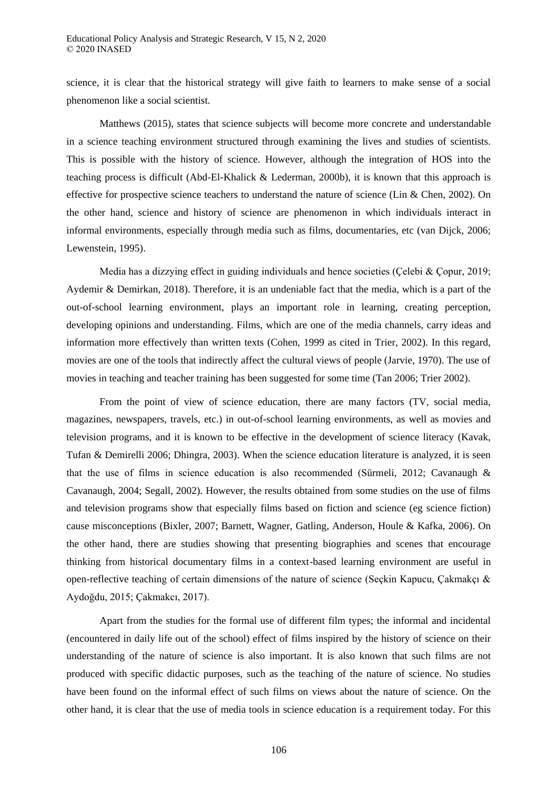science, it is clear that the historical strategy will give faith to learners to make sense of a social phenomenon like a social scientist.

Matthews (2015), states that science subjects will become more concrete and understandable in a science teaching environment structured through examining the lives and studies of scientists. This is possible with the history of science. However, although the integration of HOS into the teaching process is difficult (Abd-El-Khalick & Lederman, 2000b), it is known that this approach is effective for prospective science teachers to understand the nature of science (Lin & Chen, 2002). On the other hand, science and history of science are phenomenon in which individuals interact in informal environments, especially through media such as films, documentaries, etc (van Dijck, 2006; Lewenstein, 1995).

Media has a dizzying effect in guiding individuals and hence societies (Çelebi & Çopur, 2019; Aydemir & Demirkan, 2018). Therefore, it is an undeniable fact that the media, which is a part of the out-of-school learning environment, plays an important role in learning, creating perception, developing opinions and understanding. Films, which are one of the media channels, carry ideas and information more effectively than written texts (Cohen, 1999 as cited in Trier, 2002). In this regard, movies are one of the tools that indirectly affect the cultural views of people (Jarvie, 1970). The use of movies in teaching and teacher training has been suggested for some time (Tan 2006; Trier 2002).

From the point of view of science education, there are many factors (TV, social media, magazines, newspapers, travels, etc.) in out-of-school learning environments, as well as movies and television programs, and it is known to be effective in the development of science literacy (Kavak, Tufan & Demirelli 2006; Dhingra, 2003). When the science education literature is analyzed, it is seen that the use of films in science education is also recommended (Sürmeli, 2012; Cavanaugh & Cavanaugh, 2004; Segall, 2002). However, the results obtained from some studies on the use of films and television programs show that especially films based on fiction and science (eg science fiction) cause misconceptions (Bixler, 2007; Barnett, Wagner, Gatling, Anderson, Houle & Kafka, 2006). On the other hand, there are studies showing that presenting biographies and scenes that encourage thinking from historical documentary films in a context-based learning environment are useful in open-reflective teaching of certain dimensions of the nature of science (Seçkin Kapucu, Çakmakçı & Aydoğdu, 2015; Çakmakcı, 2017).

Apart from the studies for the formal use of different film types; the informal and incidental (encountered in daily life out of the school) effect of films inspired by the history of science on their understanding of the nature of science is also important. It is also known that such films are not produced with specific didactic purposes, such as the teaching of the nature of science. No studies have been found on the informal effect of such films on views about the nature of science. On the other hand, it is clear that the use of media tools in science education is a requirement today. For this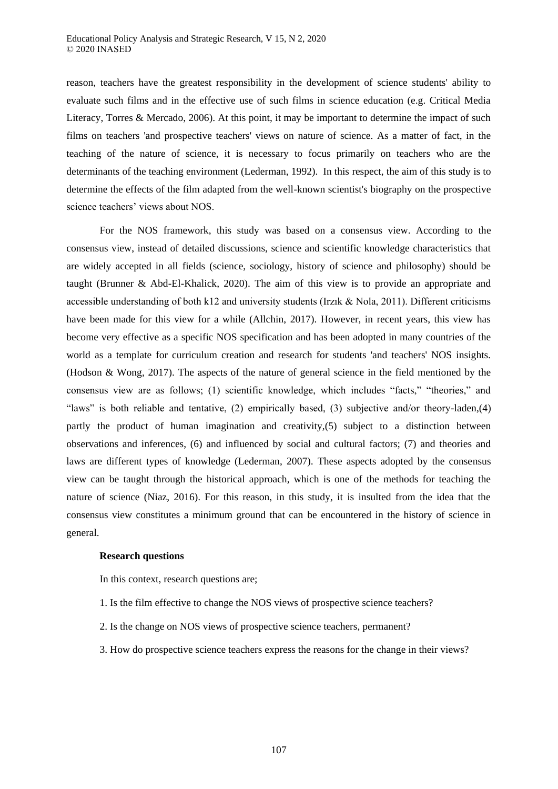reason, teachers have the greatest responsibility in the development of science students' ability to evaluate such films and in the effective use of such films in science education (e.g. Critical Media Literacy, Torres & Mercado, 2006). At this point, it may be important to determine the impact of such films on teachers 'and prospective teachers' views on nature of science. As a matter of fact, in the teaching of the nature of science, it is necessary to focus primarily on teachers who are the determinants of the teaching environment (Lederman, 1992). In this respect, the aim of this study is to determine the effects of the film adapted from the well-known scientist's biography on the prospective science teachers' views about NOS.

For the NOS framework, this study was based on a consensus view. According to the consensus view, instead of detailed discussions, science and scientific knowledge characteristics that are widely accepted in all fields (science, sociology, history of science and philosophy) should be taught (Brunner & Abd-El-Khalick, 2020). The aim of this view is to provide an appropriate and accessible understanding of both k12 and university students (Irzık & Nola, 2011). Different criticisms have been made for this view for a while (Allchin, 2017). However, in recent years, this view has become very effective as a specific NOS specification and has been adopted in many countries of the world as a template for curriculum creation and research for students 'and teachers' NOS insights. (Hodson & Wong, 2017). The aspects of the nature of general science in the field mentioned by the consensus view are as follows; (1) scientific knowledge, which includes "facts," "theories," and "laws" is both reliable and tentative, (2) empirically based, (3) subjective and/or theory-laden,(4) partly the product of human imagination and creativity,(5) subject to a distinction between observations and inferences, (6) and influenced by social and cultural factors; (7) and theories and laws are different types of knowledge (Lederman, 2007). These aspects adopted by the consensus view can be taught through the historical approach, which is one of the methods for teaching the nature of science (Niaz, 2016). For this reason, in this study, it is insulted from the idea that the consensus view constitutes a minimum ground that can be encountered in the history of science in general.

## **Research questions**

In this context, research questions are;

- 1. Is the film effective to change the NOS views of prospective science teachers?
- 2. Is the change on NOS views of prospective science teachers, permanent?
- 3. How do prospective science teachers express the reasons for the change in their views?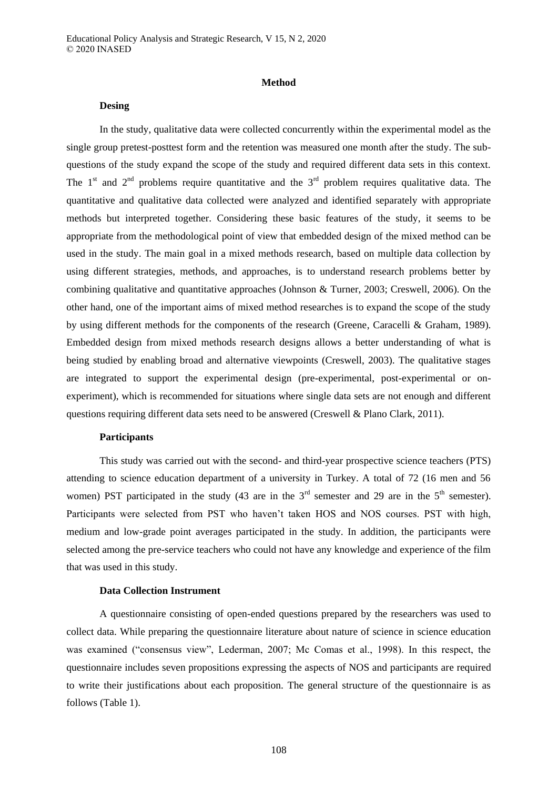#### **Method**

## **Desing**

In the study, qualitative data were collected concurrently within the experimental model as the single group pretest-posttest form and the retention was measured one month after the study. The subquestions of the study expand the scope of the study and required different data sets in this context. The  $1<sup>st</sup>$  and  $2<sup>nd</sup>$  problems require quantitative and the  $3<sup>rd</sup>$  problem requires qualitative data. The quantitative and qualitative data collected were analyzed and identified separately with appropriate methods but interpreted together. Considering these basic features of the study, it seems to be appropriate from the methodological point of view that embedded design of the mixed method can be used in the study. The main goal in a mixed methods research, based on multiple data collection by using different strategies, methods, and approaches, is to understand research problems better by combining qualitative and quantitative approaches (Johnson & Turner, 2003; Creswell, 2006). On the other hand, one of the important aims of mixed method researches is to expand the scope of the study by using different methods for the components of the research (Greene, Caracelli & Graham, 1989). Embedded design from mixed methods research designs allows a better understanding of what is being studied by enabling broad and alternative viewpoints (Creswell, 2003). The qualitative stages are integrated to support the experimental design (pre-experimental, post-experimental or onexperiment), which is recommended for situations where single data sets are not enough and different questions requiring different data sets need to be answered (Creswell & Plano Clark, 2011).

## **Participants**

This study was carried out with the second- and third-year prospective science teachers (PTS) attending to science education department of a university in Turkey. A total of 72 (16 men and 56 women) PST participated in the study (43 are in the  $3<sup>rd</sup>$  semester and 29 are in the  $5<sup>th</sup>$  semester). Participants were selected from PST who haven't taken HOS and NOS courses. PST with high, medium and low-grade point averages participated in the study. In addition, the participants were selected among the pre-service teachers who could not have any knowledge and experience of the film that was used in this study.

## **Data Collection Instrument**

A questionnaire consisting of open-ended questions prepared by the researchers was used to collect data. While preparing the questionnaire literature about nature of science in science education was examined ("consensus view", Lederman, 2007; Mc Comas et al., 1998). In this respect, the questionnaire includes seven propositions expressing the aspects of NOS and participants are required to write their justifications about each proposition. The general structure of the questionnaire is as follows (Table 1).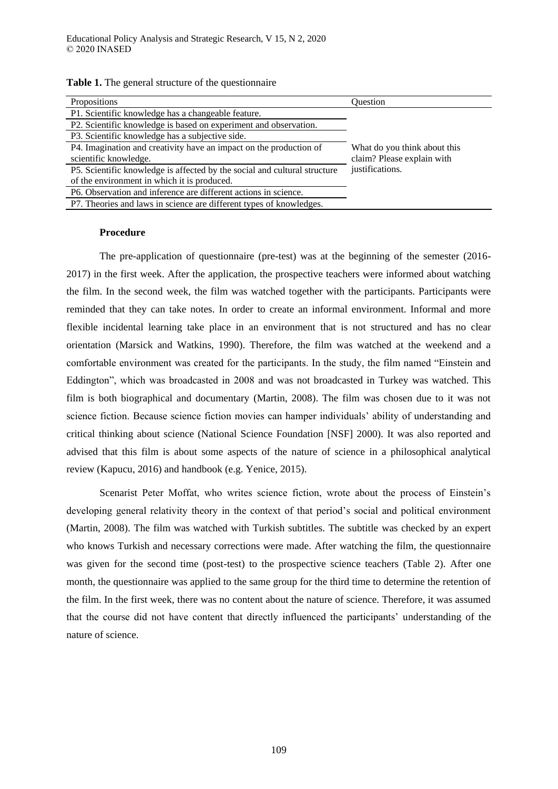| Propositions                                                              | Ouestion                     |
|---------------------------------------------------------------------------|------------------------------|
| P1. Scientific knowledge has a changeable feature.                        |                              |
| P2. Scientific knowledge is based on experiment and observation.          |                              |
| P3. Scientific knowledge has a subjective side.                           |                              |
| P4. Imagination and creativity have an impact on the production of        | What do you think about this |
| scientific knowledge.                                                     | claim? Please explain with   |
| P5. Scientific knowledge is affected by the social and cultural structure | justifications.              |
| of the environment in which it is produced.                               |                              |
| P6. Observation and inference are different actions in science.           |                              |
| P7. Theories and laws in science are different types of knowledges.       |                              |

**Table 1.** The general structure of the questionnaire

# **Procedure**

The pre-application of questionnaire (pre-test) was at the beginning of the semester (2016- 2017) in the first week. After the application, the prospective teachers were informed about watching the film. In the second week, the film was watched together with the participants. Participants were reminded that they can take notes. In order to create an informal environment. Informal and more flexible incidental learning take place in an environment that is not structured and has no clear orientation (Marsick and Watkins, 1990). Therefore, the film was watched at the weekend and a comfortable environment was created for the participants. In the study, the film named "Einstein and Eddington", which was broadcasted in 2008 and was not broadcasted in Turkey was watched. This film is both biographical and documentary (Martin, 2008). The film was chosen due to it was not science fiction. Because science fiction movies can hamper individuals' ability of understanding and critical thinking about science (National Science Foundation [NSF] 2000). It was also reported and advised that this film is about some aspects of the nature of science in a philosophical analytical review (Kapucu, 2016) and handbook (e.g. Yenice, 2015).

Scenarist Peter Moffat, who writes science fiction, wrote about the process of Einstein's developing general relativity theory in the context of that period's social and political environment (Martin, 2008). The film was watched with Turkish subtitles. The subtitle was checked by an expert who knows Turkish and necessary corrections were made. After watching the film, the questionnaire was given for the second time (post-test) to the prospective science teachers (Table 2). After one month, the questionnaire was applied to the same group for the third time to determine the retention of the film. In the first week, there was no content about the nature of science. Therefore, it was assumed that the course did not have content that directly influenced the participants' understanding of the nature of science.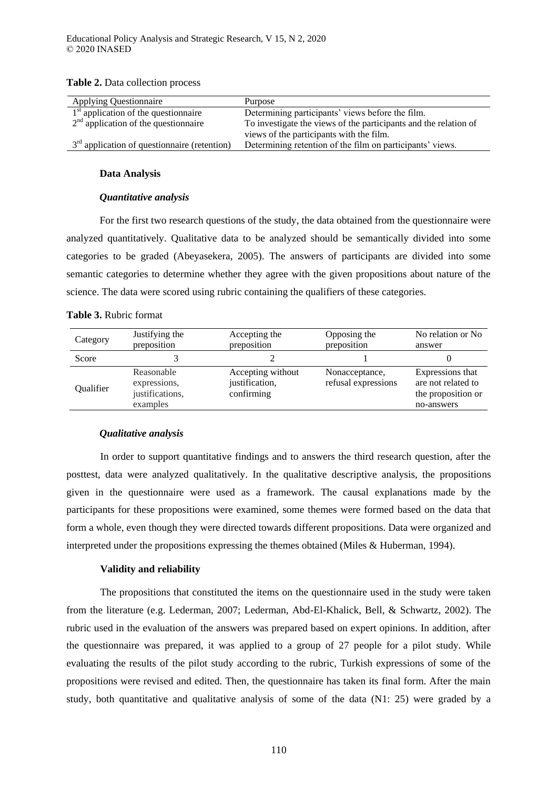| <b>Applying Questionnaire</b>                  | Purpose                                                          |
|------------------------------------------------|------------------------------------------------------------------|
| $1st$ application of the questionnaire         | Determining participants' views before the film.                 |
| $2nd$ application of the questionnaire         | To investigate the views of the participants and the relation of |
|                                                | views of the participants with the film.                         |
| $3rd$ application of questionnaire (retention) | Determining retention of the film on participants' views.        |

#### **Table 2.** Data collection process

### **Data Analysis**

### *Quantitative analysis*

For the first two research questions of the study, the data obtained from the questionnaire were analyzed quantitatively. Qualitative data to be analyzed should be semantically divided into some categories to be graded (Abeyasekera, 2005). The answers of participants are divided into some semantic categories to determine whether they agree with the given propositions about nature of the science. The data were scored using rubric containing the qualifiers of these categories.

## **Table 3.** Rubric format

| Category         | Justifying the<br>preposition                             | Accepting the<br>preposition                      | Opposing the<br>preposition           | No relation or No<br>answer                                                |
|------------------|-----------------------------------------------------------|---------------------------------------------------|---------------------------------------|----------------------------------------------------------------------------|
| Score            |                                                           |                                                   |                                       |                                                                            |
| <b>Oualifier</b> | Reasonable<br>expressions,<br>justifications,<br>examples | Accepting without<br>justification,<br>confirming | Nonacceptance,<br>refusal expressions | Expressions that<br>are not related to<br>the proposition or<br>no-answers |

## *Qualitative analysis*

In order to support quantitative findings and to answers the third research question, after the posttest, data were analyzed qualitatively. In the qualitative descriptive analysis, the propositions given in the questionnaire were used as a framework. The causal explanations made by the participants for these propositions were examined, some themes were formed based on the data that form a whole, even though they were directed towards different propositions. Data were organized and interpreted under the propositions expressing the themes obtained (Miles & Huberman, 1994).

### **Validity and reliability**

The propositions that constituted the items on the questionnaire used in the study were taken from the literature (e.g. Lederman, 2007; Lederman, Abd-El-Khalick, Bell, & Schwartz, 2002). The rubric used in the evaluation of the answers was prepared based on expert opinions. In addition, after the questionnaire was prepared, it was applied to a group of 27 people for a pilot study. While evaluating the results of the pilot study according to the rubric, Turkish expressions of some of the propositions were revised and edited. Then, the questionnaire has taken its final form. After the main study, both quantitative and qualitative analysis of some of the data (N1: 25) were graded by a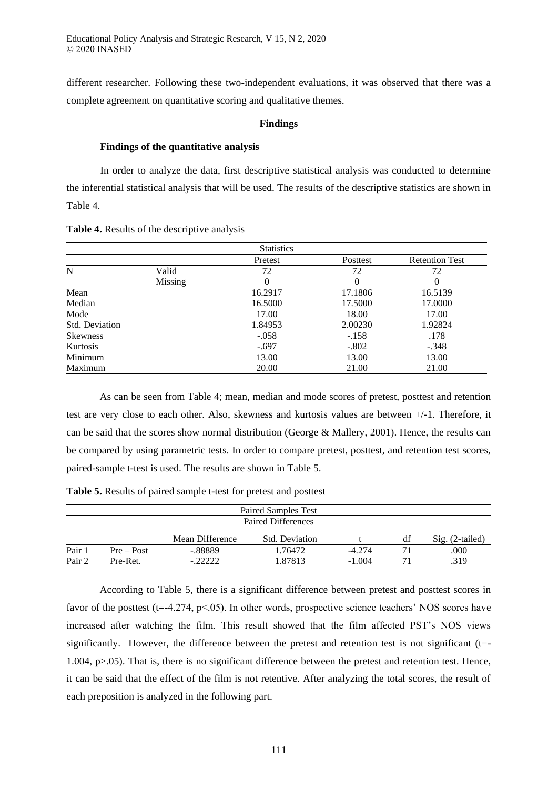different researcher. Following these two-independent evaluations, it was observed that there was a complete agreement on quantitative scoring and qualitative themes.

#### **Findings**

#### **Findings of the quantitative analysis**

In order to analyze the data, first descriptive statistical analysis was conducted to determine the inferential statistical analysis that will be used. The results of the descriptive statistics are shown in Table 4.

**Table 4.** Results of the descriptive analysis

|                 |         | <b>Statistics</b> |          |                       |
|-----------------|---------|-------------------|----------|-----------------------|
|                 |         | Pretest           | Posttest | <b>Retention Test</b> |
| $\mathbf N$     | Valid   | 72                | 72       | 72                    |
|                 | Missing | 0                 | 0        | $\theta$              |
| Mean            |         | 16.2917           | 17.1806  | 16.5139               |
| Median          |         | 16.5000           | 17.5000  | 17.0000               |
| Mode            |         | 17.00             | 18.00    | 17.00                 |
| Std. Deviation  |         | 1.84953           | 2.00230  | 1.92824               |
| <b>Skewness</b> |         | $-.058$           | $-.158$  | .178                  |
| Kurtosis        |         | $-.697$           | $-.802$  | $-.348$               |
| Minimum         |         | 13.00             | 13.00    | 13.00                 |
| Maximum         |         | 20.00             | 21.00    | 21.00                 |

As can be seen from Table 4; mean, median and mode scores of pretest, posttest and retention test are very close to each other. Also, skewness and kurtosis values are between +/-1. Therefore, it can be said that the scores show normal distribution (George & Mallery, 2001). Hence, the results can be compared by using parametric tests. In order to compare pretest, posttest, and retention test scores, paired-sample t-test is used. The results are shown in Table 5.

**Table 5.** Results of paired sample t-test for pretest and posttest

|        |              |                 | Paired Samples Test |          |    |                   |
|--------|--------------|-----------------|---------------------|----------|----|-------------------|
|        |              |                 | Paired Differences  |          |    |                   |
|        |              | Mean Difference | Std. Deviation      |          | df | $Sig. (2-tailed)$ |
| Pair 1 | $Pre - Post$ | -.88889         | 1.76472             | $-4.274$ |    | .000              |
| Pair 2 | Pre-Ret.     | $-.22222$       | 1.87813             | $-1.004$ | 71 | .319              |

According to Table 5, there is a significant difference between pretest and posttest scores in favor of the posttest (t=-4.274, p<.05). In other words, prospective science teachers' NOS scores have increased after watching the film. This result showed that the film affected PST's NOS views significantly. However, the difference between the pretest and retention test is not significant (t=- 1.004, p>.05). That is, there is no significant difference between the pretest and retention test. Hence, it can be said that the effect of the film is not retentive. After analyzing the total scores, the result of each preposition is analyzed in the following part.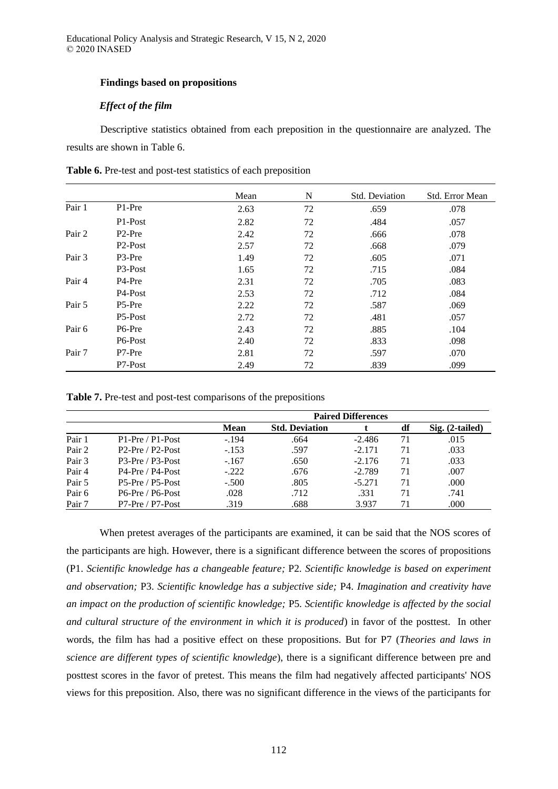## **Findings based on propositions**

# *Effect of the film*

Descriptive statistics obtained from each preposition in the questionnaire are analyzed. The results are shown in Table 6.

|        |                      | Mean | N  | Std. Deviation | Std. Error Mean |
|--------|----------------------|------|----|----------------|-----------------|
| Pair 1 | P1-Pre               | 2.63 | 72 | .659           | .078            |
|        | P <sub>1</sub> -Post | 2.82 | 72 | .484           | .057            |
| Pair 2 | P <sub>2</sub> -Pre  | 2.42 | 72 | .666           | .078            |
|        | P <sub>2</sub> -Post | 2.57 | 72 | .668           | .079            |
| Pair 3 | P <sub>3</sub> -Pre  | 1.49 | 72 | .605           | .071            |
|        | P <sub>3</sub> -Post | 1.65 | 72 | .715           | .084            |
| Pair 4 | P <sub>4</sub> -Pre  | 2.31 | 72 | .705           | .083            |
|        | P <sub>4</sub> -Post | 2.53 | 72 | .712           | .084            |
| Pair 5 | P <sub>5</sub> -Pre  | 2.22 | 72 | .587           | .069            |
|        | P <sub>5</sub> -Post | 2.72 | 72 | .481           | .057            |
| Pair 6 | P <sub>6</sub> -Pre  | 2.43 | 72 | .885           | .104            |
|        | P <sub>6</sub> -Post | 2.40 | 72 | .833           | .098            |
| Pair 7 | P7-Pre               | 2.81 | 72 | .597           | .070            |
|        | P7-Post              | 2.49 | 72 | .839           | .099            |

**Table 6.** Pre-test and post-test statistics of each preposition

**Table 7.** Pre-test and post-test comparisons of the prepositions

|        |                    | <b>Paired Differences</b> |                       |          |    |                   |  |
|--------|--------------------|---------------------------|-----------------------|----------|----|-------------------|--|
|        |                    | <b>Mean</b>               | <b>Std. Deviation</b> |          | df | $Sig. (2-tailed)$ |  |
| Pair 1 | $P1-Pre / P1-Post$ | $-.194$                   | .664                  | $-2.486$ | 71 | .015              |  |
| Pair 2 | $P2-Pre / P2-Post$ | $-.153$                   | .597                  | $-2.171$ | 71 | .033              |  |
| Pair 3 | $P3-Pre / P3-Post$ | $-.167$                   | .650                  | $-2.176$ | 71 | .033              |  |
| Pair 4 | P4-Pre / P4-Post   | $-.222$                   | .676                  | $-2.789$ | 71 | .007              |  |
| Pair 5 | $P5-Pre / P5-Post$ | $-.500$                   | .805                  | $-5.271$ | 71 | .000              |  |
| Pair 6 | $P6-Pre / P6-Post$ | .028                      | .712                  | .331     | 71 | .741              |  |
| Pair 7 | $P7-Pre / P7-Post$ | .319                      | .688                  | 3.937    | 71 | .000              |  |

When pretest averages of the participants are examined, it can be said that the NOS scores of the participants are high. However, there is a significant difference between the scores of propositions (P1. *Scientific knowledge has a changeable feature;* P2*. Scientific knowledge is based on experiment and observation;* P3. *Scientific knowledge has a subjective side;* P4. *Imagination and creativity have an impact on the production of scientific knowledge;* P5*. Scientific knowledge is affected by the social and cultural structure of the environment in which it is produced*) in favor of the posttest. In other words, the film has had a positive effect on these propositions. But for P7 (*Theories and laws in science are different types of scientific knowledge*), there is a significant difference between pre and posttest scores in the favor of pretest. This means the film had negatively affected participants' NOS views for this preposition. Also, there was no significant difference in the views of the participants for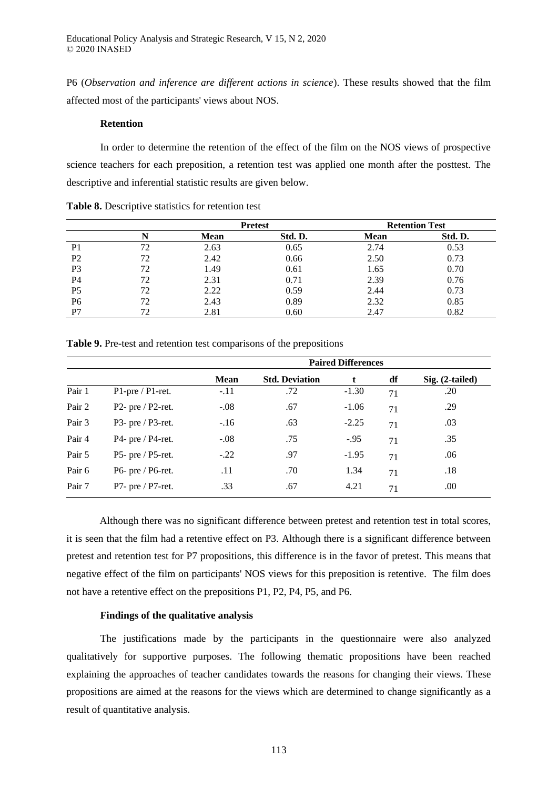P6 (*Observation and inference are different actions in science*). These results showed that the film affected most of the participants' views about NOS.

# **Retention**

In order to determine the retention of the effect of the film on the NOS views of prospective science teachers for each preposition, a retention test was applied one month after the posttest. The descriptive and inferential statistic results are given below.

|                |    |      | <b>Pretest</b> | <b>Retention Test</b> |         |  |
|----------------|----|------|----------------|-----------------------|---------|--|
|                |    | Mean | Std. D.        | <b>Mean</b>           | Std. D. |  |
| P <sub>1</sub> | 72 | 2.63 | 0.65           | 2.74                  | 0.53    |  |
| P <sub>2</sub> | 72 | 2.42 | 0.66           | 2.50                  | 0.73    |  |
| P <sub>3</sub> | 72 | 1.49 | 0.61           | 1.65                  | 0.70    |  |
| P4             | 72 | 2.31 | 0.71           | 2.39                  | 0.76    |  |
| P <sub>5</sub> | 72 | 2.22 | 0.59           | 2.44                  | 0.73    |  |
| P <sub>6</sub> | 72 | 2.43 | 0.89           | 2.32                  | 0.85    |  |
| P7             | 72 | 2.81 | 0.60           | 2.47                  | 0.82    |  |

**Table 8.** Descriptive statistics for retention test

| Table 9. Pre-test and retention test comparisons of the prepositions |  |  |  |  |  |  |
|----------------------------------------------------------------------|--|--|--|--|--|--|
|----------------------------------------------------------------------|--|--|--|--|--|--|

|        |                         | <b>Paired Differences</b> |                       |         |    |                   |  |
|--------|-------------------------|---------------------------|-----------------------|---------|----|-------------------|--|
|        |                         | <b>Mean</b>               | <b>Std. Deviation</b> | t       | df | $Sig. (2-tailed)$ |  |
| Pair 1 | $P1$ -pre / $P1$ -ret.  | $-.11$                    | .72                   | $-1.30$ | 71 | .20               |  |
| Pair 2 | P2- pre $/$ P2-ret.     | $-.08$                    | .67                   | $-1.06$ | 71 | .29               |  |
| Pair 3 | $P3$ - pre / $P3$ -ret. | $-.16$                    | .63                   | $-2.25$ | 71 | .03               |  |
| Pair 4 | $P4$ - pre / $P4$ -ret. | $-.08$                    | .75                   | $-.95$  | 71 | .35               |  |
| Pair 5 | $P5$ - pre / $P5$ -ret. | $-.22$                    | .97                   | $-1.95$ | 71 | .06               |  |
| Pair 6 | $P6$ - pre / $P6$ -ret. | .11                       | .70                   | 1.34    | 71 | .18               |  |
| Pair 7 | $P7-$ pre / $P7-$ ret.  | .33                       | .67                   | 4.21    | 71 | .00.              |  |

Although there was no significant difference between pretest and retention test in total scores, it is seen that the film had a retentive effect on P3. Although there is a significant difference between pretest and retention test for P7 propositions, this difference is in the favor of pretest. This means that negative effect of the film on participants' NOS views for this preposition is retentive. The film does not have a retentive effect on the prepositions P1, P2, P4, P5, and P6.

#### **Findings of the qualitative analysis**

The justifications made by the participants in the questionnaire were also analyzed qualitatively for supportive purposes. The following thematic propositions have been reached explaining the approaches of teacher candidates towards the reasons for changing their views. These propositions are aimed at the reasons for the views which are determined to change significantly as a result of quantitative analysis.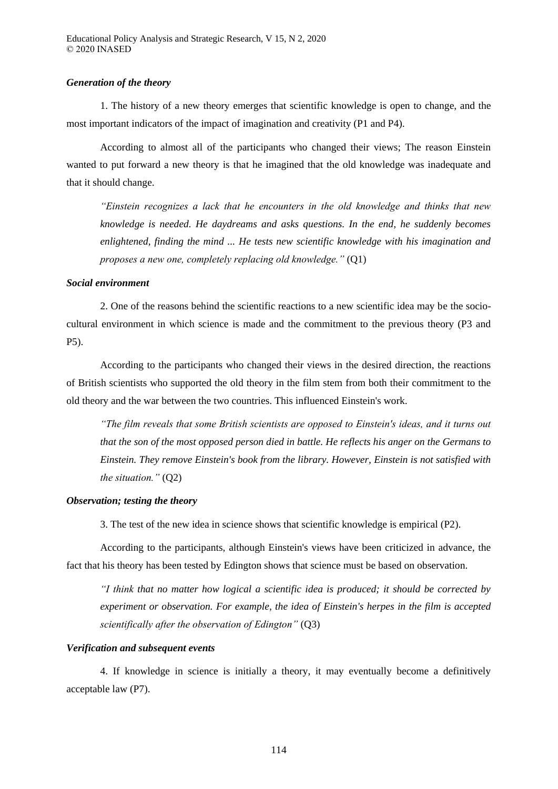## *Generation of the theory*

1. The history of a new theory emerges that scientific knowledge is open to change, and the most important indicators of the impact of imagination and creativity (P1 and P4).

According to almost all of the participants who changed their views; The reason Einstein wanted to put forward a new theory is that he imagined that the old knowledge was inadequate and that it should change.

*"Einstein recognizes a lack that he encounters in the old knowledge and thinks that new knowledge is needed. He daydreams and asks questions. In the end, he suddenly becomes enlightened, finding the mind ... He tests new scientific knowledge with his imagination and proposes a new one, completely replacing old knowledge "* (Q1)

# *Social environment*

2. One of the reasons behind the scientific reactions to a new scientific idea may be the sociocultural environment in which science is made and the commitment to the previous theory (P3 and P5).

According to the participants who changed their views in the desired direction, the reactions of British scientists who supported the old theory in the film stem from both their commitment to the old theory and the war between the two countries. This influenced Einstein's work.

*" he ilm reveals that some British scientists are opposed to Einstein's ideas, and it turns out that the son of the most opposed person died in battle. He reflects his anger on the Germans to Einstein. They remove Einstein's book from the library. However, Einstein is not satisfied with the situation "* (Q2)

# *Observation; testing the theory*

3. The test of the new idea in science shows that scientific knowledge is empirical (P2).

According to the participants, although Einstein's views have been criticized in advance, the fact that his theory has been tested by Edington shows that science must be based on observation.

*"I think that no matter how logical a scientific idea is produced; it should be corrected by experiment or observation. For example, the idea of Einstein's herpes in the film is accepted scientifically after the observation of Edington"* (Q3)

# *Verification and subsequent events*

4. If knowledge in science is initially a theory, it may eventually become a definitively acceptable law (P7).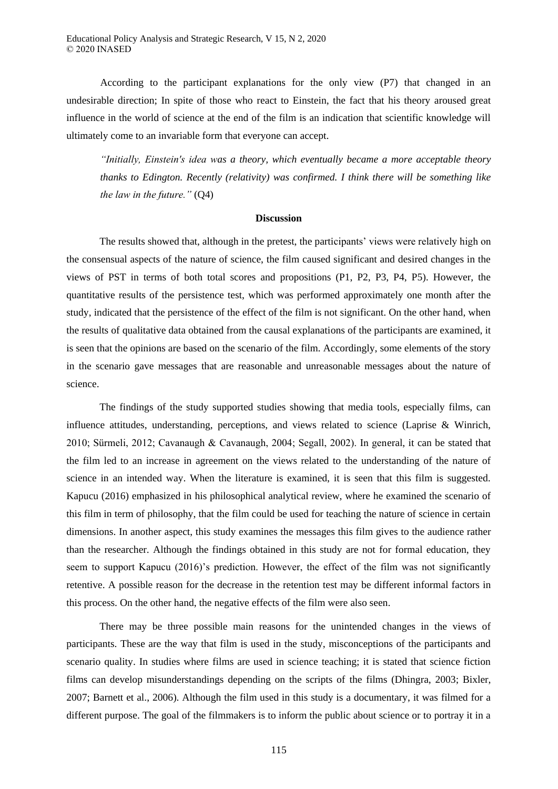According to the participant explanations for the only view (P7) that changed in an undesirable direction; In spite of those who react to Einstein, the fact that his theory aroused great influence in the world of science at the end of the film is an indication that scientific knowledge will ultimately come to an invariable form that everyone can accept.

*"Initially, Einstein's idea was a theory, which eventually became a more acceptable theory thanks to Edington. Recently (relativity) was confirmed. I think there will be something like the law in the future.*"  $(Q4)$ 

#### **Discussion**

The results showed that, although in the pretest, the participants' views were relatively high on the consensual aspects of the nature of science, the film caused significant and desired changes in the views of PST in terms of both total scores and propositions (P1, P2, P3, P4, P5). However, the quantitative results of the persistence test, which was performed approximately one month after the study, indicated that the persistence of the effect of the film is not significant. On the other hand, when the results of qualitative data obtained from the causal explanations of the participants are examined, it is seen that the opinions are based on the scenario of the film. Accordingly, some elements of the story in the scenario gave messages that are reasonable and unreasonable messages about the nature of science.

The findings of the study supported studies showing that media tools, especially films, can influence attitudes, understanding, perceptions, and views related to science (Laprise & Winrich, 2010; Sürmeli, 2012; Cavanaugh & Cavanaugh, 2004; Segall, 2002). In general, it can be stated that the film led to an increase in agreement on the views related to the understanding of the nature of science in an intended way. When the literature is examined, it is seen that this film is suggested. Kapucu (2016) emphasized in his philosophical analytical review, where he examined the scenario of this film in term of philosophy, that the film could be used for teaching the nature of science in certain dimensions. In another aspect, this study examines the messages this film gives to the audience rather than the researcher. Although the findings obtained in this study are not for formal education, they seem to support Kapucu (2016)'s prediction. However, the effect of the film was not significantly retentive. A possible reason for the decrease in the retention test may be different informal factors in this process. On the other hand, the negative effects of the film were also seen.

There may be three possible main reasons for the unintended changes in the views of participants. These are the way that film is used in the study, misconceptions of the participants and scenario quality. In studies where films are used in science teaching; it is stated that science fiction films can develop misunderstandings depending on the scripts of the films (Dhingra, 2003; Bixler, 2007; Barnett et al., 2006). Although the film used in this study is a documentary, it was filmed for a different purpose. The goal of the filmmakers is to inform the public about science or to portray it in a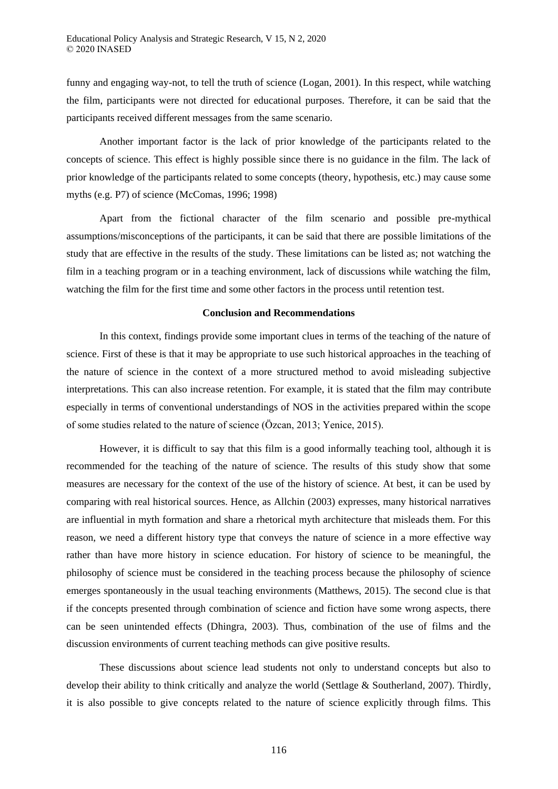funny and engaging way-not, to tell the truth of science (Logan, 2001). In this respect, while watching the film, participants were not directed for educational purposes. Therefore, it can be said that the participants received different messages from the same scenario.

Another important factor is the lack of prior knowledge of the participants related to the concepts of science. This effect is highly possible since there is no guidance in the film. The lack of prior knowledge of the participants related to some concepts (theory, hypothesis, etc.) may cause some myths (e.g. P7) of science (McComas, 1996; 1998)

Apart from the fictional character of the film scenario and possible pre-mythical assumptions/misconceptions of the participants, it can be said that there are possible limitations of the study that are effective in the results of the study. These limitations can be listed as; not watching the film in a teaching program or in a teaching environment, lack of discussions while watching the film, watching the film for the first time and some other factors in the process until retention test.

# **Conclusion and Recommendations**

In this context, findings provide some important clues in terms of the teaching of the nature of science. First of these is that it may be appropriate to use such historical approaches in the teaching of the nature of science in the context of a more structured method to avoid misleading subjective interpretations. This can also increase retention. For example, it is stated that the film may contribute especially in terms of conventional understandings of NOS in the activities prepared within the scope of some studies related to the nature of science (Özcan, 2013; Yenice, 2015).

However, it is difficult to say that this film is a good informally teaching tool, although it is recommended for the teaching of the nature of science. The results of this study show that some measures are necessary for the context of the use of the history of science. At best, it can be used by comparing with real historical sources. Hence, as Allchin (2003) expresses, many historical narratives are influential in myth formation and share a rhetorical myth architecture that misleads them. For this reason, we need a different history type that conveys the nature of science in a more effective way rather than have more history in science education. For history of science to be meaningful, the philosophy of science must be considered in the teaching process because the philosophy of science emerges spontaneously in the usual teaching environments (Matthews, 2015). The second clue is that if the concepts presented through combination of science and fiction have some wrong aspects, there can be seen unintended effects (Dhingra, 2003). Thus, combination of the use of films and the discussion environments of current teaching methods can give positive results.

These discussions about science lead students not only to understand concepts but also to develop their ability to think critically and analyze the world (Settlage & Southerland, 2007). Thirdly, it is also possible to give concepts related to the nature of science explicitly through films. This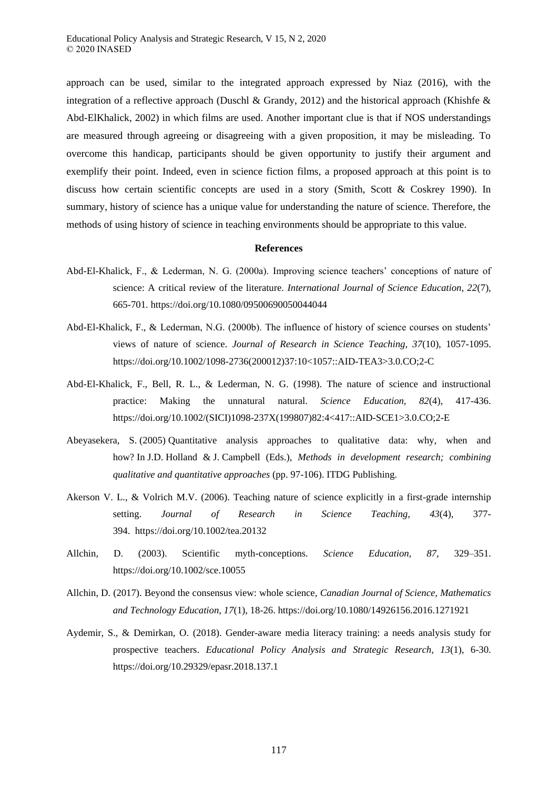approach can be used, similar to the integrated approach expressed by Niaz (2016), with the integration of a reflective approach (Duschl & Grandy, 2012) and the historical approach (Khishfe  $\&$ Abd-ElKhalick, 2002) in which films are used. Another important clue is that if NOS understandings are measured through agreeing or disagreeing with a given proposition, it may be misleading. To overcome this handicap, participants should be given opportunity to justify their argument and exemplify their point. Indeed, even in science fiction films, a proposed approach at this point is to discuss how certain scientific concepts are used in a story (Smith, Scott & Coskrey 1990). In summary, history of science has a unique value for understanding the nature of science. Therefore, the methods of using history of science in teaching environments should be appropriate to this value.

#### **References**

- Abd-El-Khalick, F., & Lederman, N. G. (2000a). Improving science teachers' conceptions of nature of science: A critical review of the literature. *International Journal of Science Education, 22*(7), 665-701. https://doi.org/10.1080/09500690050044044
- Abd-El-Khalick, F., & Lederman, N.G. (2000b). The influence of history of science courses on students' views of nature of science. *Journal of Research in Science Teaching, 37*(10), 1057-1095. https://doi.org/10.1002/1098-2736(200012)37:10<1057::AID-TEA3>3.0.CO;2-C
- Abd-El-Khalick, F., Bell, R. L., & Lederman, N. G. (1998). The nature of science and instructional practice: Making the unnatural natural. *Science Education, 82*(4), 417-436. https://doi.org/10.1002/(SICI)1098-237X(199807)82:4<417::AID-SCE1>3.0.CO;2-E
- Abeyasekera, S. (2005) Quantitative analysis approaches to qualitative data: why, when and how? In J.D. Holland & J. Campbell (Eds.), *Methods in development research; combining qualitative and quantitative approaches* (pp. 97-106). ITDG Publishing.
- Akerson V. L., & Volrich M.V. (2006). Teaching nature of science explicitly in a first-grade internship setting. *Journal of Research in Science Teaching, 43*(4), 377- 394. https://doi.org/10.1002/tea.20132
- Allchin, D. (2003). Scientific myth-conceptions. *Science Education, 87*, 329–351. https://doi.org/10.1002/sce.10055
- Allchin, D. (2017). Beyond the consensus view: whole science, *Canadian Journal of Science, Mathematics and Technology Education, 17*(1), 18-26. https://doi.org/10.1080/14926156.2016.1271921
- Aydemir, S., & Demirkan, O. (2018). Gender-aware media literacy training: a needs analysis study for prospective teachers. *Educational Policy Analysis and Strategic Research, 13*(1), 6-30. https://doi.org/10.29329/epasr.2018.137.1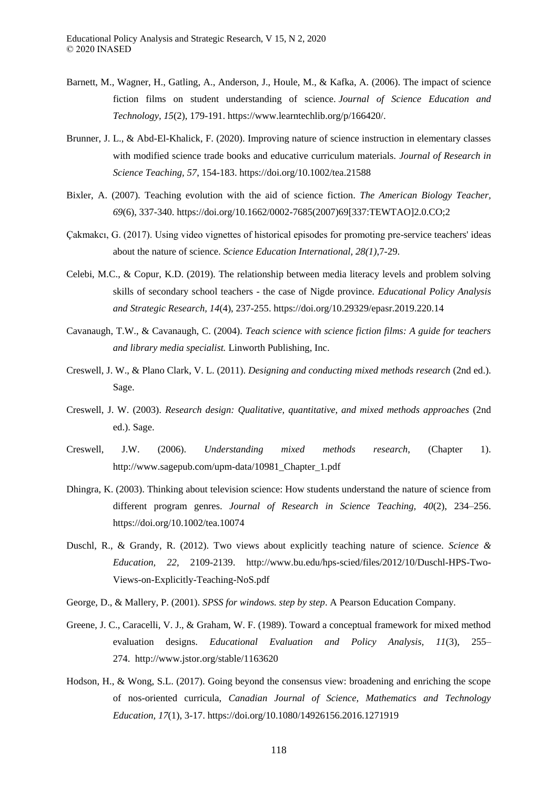- Barnett, M., Wagner, H., Gatling, A., Anderson, J., Houle, M., & Kafka, A. (2006). The impact of science fiction films on student understanding of science. *Journal of Science Education and Technology, 15*(2), 179-191. https://www.learntechlib.org/p/166420/.
- Brunner, J. L., & Abd-El-Khalick, F. (2020). Improving nature of science instruction in elementary classes with modified science trade books and educative curriculum materials. *Journal of Research in Science Teaching, 57*, 154-183. https://doi.org/10.1002/tea.21588
- Bixler, A. (2007). Teaching evolution with the aid of science fiction. *The American Biology Teacher, 69*(6), 337-340. https://doi.org/10.1662/0002-7685(2007)69[337:TEWTAO]2.0.CO;2
- Çakmakcı, G. (2017). Using video vignettes of historical episodes for promoting pre-service teachers' ideas about the nature of science. *Science Education International, 28(1)*,7-29.
- Celebi, M.C., & Copur, K.D. (2019). The relationship between media literacy levels and problem solving skills of secondary school teachers - the case of Nigde province. *Educational Policy Analysis and Strategic Research, 14*(4), 237-255. https://doi.org/10.29329/epasr.2019.220.14
- Cavanaugh, T.W., & Cavanaugh, C. (2004). *Teach science with science fiction films: A guide for teachers and library media specialist.* Linworth Publishing, Inc.
- Creswell, J. W., & Plano Clark, V. L. (2011). *Designing and conducting mixed methods research* (2nd ed.). Sage.
- Creswell, J. W. (2003). *Research design: Qualitative, quantitative, and mixed methods approaches* (2nd ed.). Sage.
- Creswell, J.W. (2006). *Understanding mixed methods research*, (Chapter 1). http://www.sagepub.com/upm-data/10981\_Chapter\_1.pdf
- Dhingra, K. (2003). Thinking about television science: How students understand the nature of science from different program genres. *Journal of Research in Science Teaching, 40*(2), 234–256. https://doi.org/10.1002/tea.10074
- Duschl, R., & Grandy, R. (2012). Two views about explicitly teaching nature of science. *Science & Education, 22,* 2109-2139. http://www.bu.edu/hps-scied/files/2012/10/Duschl-HPS-Two-Views-on-Explicitly-Teaching-NoS.pdf
- George, D., & Mallery, P. (2001). *SPSS for windows. step by step*. A Pearson Education Company*.*
- Greene, J. C., Caracelli, V. J., & Graham, W. F. (1989). Toward a conceptual framework for mixed method evaluation designs. *Educational Evaluation and Policy Analysis, 11*(3), 255– 274. http://www.jstor.org/stable/1163620
- Hodson, H., & Wong, S.L. (2017). Going beyond the consensus view: broadening and enriching the scope of nos-oriented curricula, *Canadian Journal of Science, Mathematics and Technology Education, 17*(1), 3-17. https://doi.org/10.1080/14926156.2016.1271919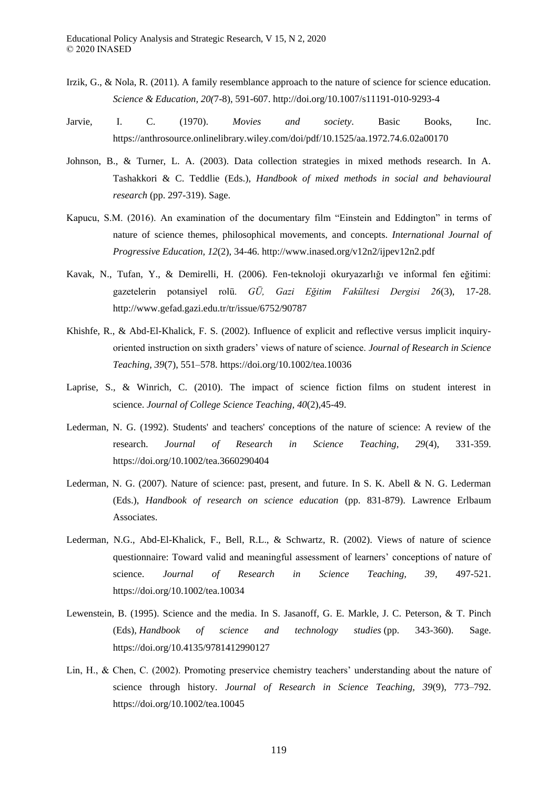- Irzik, G., & Nola, R. (2011). A family resemblance approach to the nature of science for science education. *Science & Education, 20(*7-8), 591-607. http://doi.org/10.1007/s11191-010-9293-4
- Jarvie, I. C. (1970). *Movies and society*. Basic Books, Inc. https://anthrosource.onlinelibrary.wiley.com/doi/pdf/10.1525/aa.1972.74.6.02a00170
- Johnson, B., & Turner, L. A. (2003). Data collection strategies in mixed methods research. In A. Tashakkori & C. Teddlie (Eds.), *Handbook of mixed methods in social and behavioural research* (pp. 297-319). Sage.
- Kapucu, S.M. (2016). An examination of the documentary film "Einstein and Eddington" in terms of nature of science themes, philosophical movements, and concepts. *International Journal of Progressive Education, 12*(2), 34-46. http://www.inased.org/v12n2/ijpev12n2.pdf
- Kavak, N., Tufan, Y., & Demirelli, H. (2006). Fen-teknoloji okuryazarlığı ve informal fen eğitimi: gazetelerin potansiyel rolü. *GÜ, Gazi Eğitim Fakültesi Dergisi 26*(3), 17-28. http://www.gefad.gazi.edu.tr/tr/issue/6752/90787
- Khishfe, R., & Abd-El-Khalick, F. S. (2002). Influence of explicit and reflective versus implicit inquiryoriented instruction on sixth graders' views of nature of science. *Journal of Research in Science Teaching, 39*(7), 551–578. https://doi.org/10.1002/tea.10036
- Laprise, S., & Winrich, C. (2010). The impact of science fiction films on student interest in science. *Journal of College Science Teaching, 40*(2),45-49.
- Lederman, N. G. (1992). Students' and teachers' conceptions of the nature of science: A review of the research. *Journal of Research in Science Teaching, 29*(4), 331-359. https://doi.org/10.1002/tea.3660290404
- Lederman, N. G. (2007). Nature of science: past, present, and future. In S. K. Abell & N. G. Lederman (Eds.), *Handbook of research on science education* (pp. 831-879). Lawrence Erlbaum Associates.
- Lederman, N.G., Abd-El-Khalick, F., Bell, R.L., & Schwartz, R. (2002). Views of nature of science questionnaire: Toward valid and meaningful assessment of learners' conceptions of nature of science. *Journal of Research in Science Teaching, 39*, 497-521. https://doi.org/10.1002/tea.10034
- Lewenstein, B. (1995). Science and the media. In S. Jasanoff, G. E. Markle, J. C. Peterson, & T. Pinch (Eds), *Handbook of science and technology studies* (pp. 343-360). Sage. https://doi.org/10.4135/9781412990127
- Lin, H., & Chen, C. (2002). Promoting preservice chemistry teachers' understanding about the nature of science through history. *Journal of Research in Science Teaching, 39*(9), 773–792. https://doi.org/10.1002/tea.10045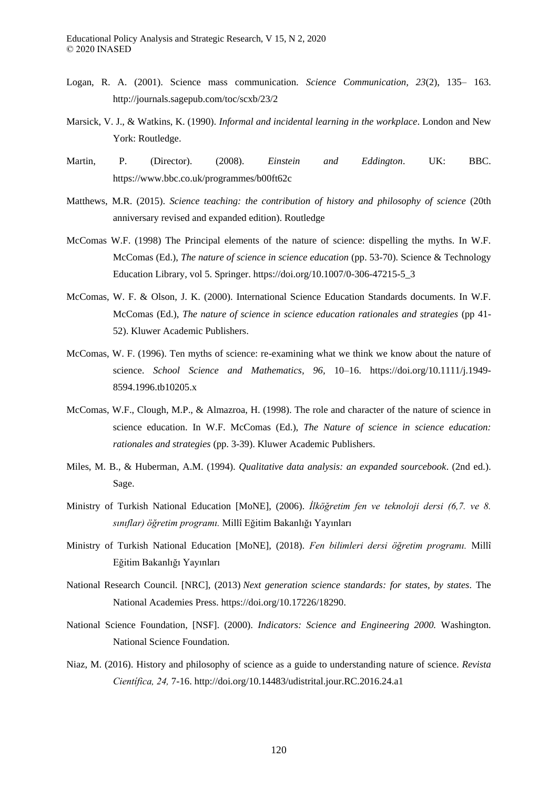- Logan, R. A. (2001). Science mass communication. *Science Communication, 23*(2), 135– 163. http://journals.sagepub.com/toc/scxb/23/2
- Marsick, V. J., & Watkins, K. (1990). *Informal and incidental learning in the workplace*. London and New York: Routledge.
- Martin, P. (Director). (2008). *Einstein and Eddington*. UK: BBC. https://www.bbc.co.uk/programmes/b00ft62c
- Matthews, M.R. (2015). *Science teaching: the contribution of history and philosophy of science* (20th anniversary revised and expanded edition). Routledge
- McComas W.F. (1998) The Principal elements of the nature of science: dispelling the myths. In W.F. McComas (Ed.), *The nature of science in science education* (pp. 53-70). Science & Technology Education Library, vol 5. Springer. https://doi.org/10.1007/0-306-47215-5\_3
- McComas, W. F. & Olson, J. K. (2000). International Science Education Standards documents. In W.F. McComas (Ed.), *The nature of science in science education rationales and strategies* (pp 41- 52). Kluwer Academic Publishers.
- McComas, W. F. (1996). Ten myths of science: re-examining what we think we know about the nature of science. *School Science and Mathematics, 96,* 10–16. https://doi.org/10.1111/j.1949- 8594.1996.tb10205.x
- McComas, W.F., Clough, M.P., & Almazroa, H. (1998). The role and character of the nature of science in science education. In W.F. McComas (Ed.), *The Nature of science in science education: rationales and strategies* (pp. 3-39). Kluwer Academic Publishers.
- Miles, M. B., & Huberman, A.M. (1994). *Qualitative data analysis: an expanded sourcebook*. (2nd ed.). Sage.
- Ministry of Turkish National Education [MoNE], (2006). *İlköğretim fen ve teknoloji dersi (6,7. ve 8. sını lar ğretim programı* Millî Eğitim Bakanlığı Yayınları
- Ministry of Turkish National Education [MoNE], (2018). *Fen bilimleri dersi ğretim programı* Millî Eğitim Bakanlığı Yayınları
- National Research Council. [NRC], (2013) *Next generation science standards: for states, by states.* The National Academies Press. https://doi.org/10.17226/18290.
- National Science Foundation, [NSF]. (2000). *Indicators: Science and Engineering 2000.* Washington. National Science Foundation.
- Niaz, M. (2016). History and philosophy of science as a guide to understanding nature of science. *Revista Cientí ica, 24,* 7-16. http://doi.org/10.14483/udistrital.jour.RC.2016.24.a1